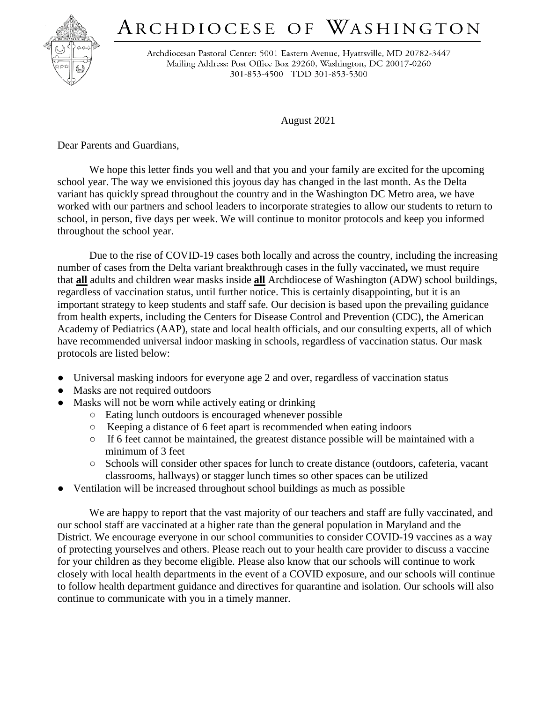## ARCHDIOCESE OF WASHINGTON



Archdiocesan Pastoral Center: 5001 Eastern Avenue, Hyattsville, MD 20782-3447 Mailing Address: Post Office Box 29260, Washington, DC 20017-0260 301-853-4500 TDD 301-853-5300

August 2021

Dear Parents and Guardians,

We hope this letter finds you well and that you and your family are excited for the upcoming school year. The way we envisioned this joyous day has changed in the last month. As the Delta variant has quickly spread throughout the country and in the Washington DC Metro area, we have worked with our partners and school leaders to incorporate strategies to allow our students to return to school, in person, five days per week. We will continue to monitor protocols and keep you informed throughout the school year.

Due to the rise of COVID-19 cases both locally and across the country, including the increasing number of cases from the Delta variant breakthrough cases in the fully vaccinated**,** we must require that **all** adults and children wear masks inside **all** Archdiocese of Washington (ADW) school buildings, regardless of vaccination status, until further notice. This is certainly disappointing, but it is an important strategy to keep students and staff safe. Our decision is based upon the prevailing guidance from health experts, including the Centers for Disease Control and Prevention (CDC), the American Academy of Pediatrics (AAP), state and local health officials, and our consulting experts, all of which have recommended universal indoor masking in schools, regardless of vaccination status. Our mask protocols are listed below:

- Universal masking indoors for everyone age 2 and over, regardless of vaccination status
- Masks are not required outdoors
- Masks will not be worn while actively eating or drinking
	- Eating lunch outdoors is encouraged whenever possible
	- Keeping a distance of 6 feet apart is recommended when eating indoors
	- If 6 feet cannot be maintained, the greatest distance possible will be maintained with a minimum of 3 feet
	- Schools will consider other spaces for lunch to create distance (outdoors, cafeteria, vacant classrooms, hallways) or stagger lunch times so other spaces can be utilized
- Ventilation will be increased throughout school buildings as much as possible

We are happy to report that the vast majority of our teachers and staff are fully vaccinated, and our school staff are vaccinated at a higher rate than the general population in Maryland and the District. We encourage everyone in our school communities to consider COVID-19 vaccines as a way of protecting yourselves and others. Please reach out to your health care provider to discuss a vaccine for your children as they become eligible. Please also know that our schools will continue to work closely with local health departments in the event of a COVID exposure, and our schools will continue to follow health department guidance and directives for quarantine and isolation. Our schools will also continue to communicate with you in a timely manner.